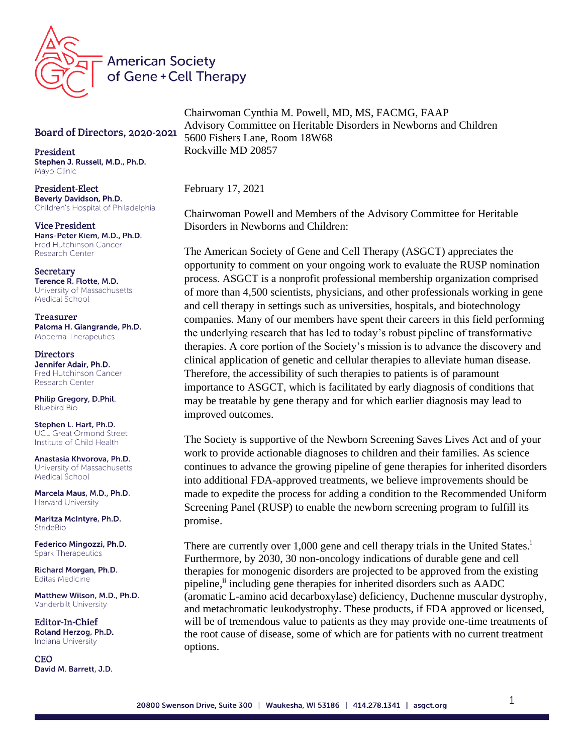

## Board of Directors, 2020-2021

President Stephen J. Russell, M.D., Ph.D. Mayo Clinic

President-Elect Beverly Davidson, Ph.D. Children's Hospital of Philadelphia

**Vice President** Hans-Peter Kiem, M.D., Ph.D. **Fred Hutchinson Cancer** Research Center

Secretary Terence R. Flotte, M.D. University of Massachusetts Medical School

Treasurer Paloma H. Giangrande, Ph.D. Moderna Therapeutics

**Directors** Jennifer Adair, Ph.D. Fred Hutchinson Cancer Research Center

Philip Gregory, D.Phil. **Bluebird Bio** 

Stephen L. Hart, Ph.D. **UCL Great Ormond Street** Institute of Child Health

Anastasia Khvorova, Ph.D. University of Massachusetts Medical School

Marcela Maus, M.D., Ph.D. **Harvard University** 

Maritza McIntyre, Ph.D. StrideBio

Federico Mingozzi, Ph.D. **Spark Therapeutics** 

Richard Morgan, Ph.D. **Editas Medicine** 

Matthew Wilson, M.D., Ph.D. Vanderbilt University

Editor-In-Chief Roland Herzog, Ph.D. Indiana University

**CEO** David M. Barrett, J.D. Chairwoman Cynthia M. Powell, MD, MS, FACMG, FAAP Advisory Committee on Heritable Disorders in Newborns and Children 5600 Fishers Lane, Room 18W68 Rockville MD 20857

February 17, 2021

Chairwoman Powell and Members of the Advisory Committee for Heritable Disorders in Newborns and Children:

The American Society of Gene and Cell Therapy (ASGCT) appreciates the opportunity to comment on your ongoing work to evaluate the RUSP nomination process. ASGCT is a nonprofit professional membership organization comprised of more than 4,500 scientists, physicians, and other professionals working in gene and cell therapy in settings such as universities, hospitals, and biotechnology companies. Many of our members have spent their careers in this field performing the underlying research that has led to today's robust pipeline of transformative therapies. A core portion of the Society's mission is to advance the discovery and clinical application of genetic and cellular therapies to alleviate human disease. Therefore, the accessibility of such therapies to patients is of paramount importance to ASGCT, which is facilitated by early diagnosis of conditions that may be treatable by gene therapy and for which earlier diagnosis may lead to improved outcomes.

The Society is supportive of the Newborn Screening Saves Lives Act and of your work to provide actionable diagnoses to children and their families. As science continues to advance the growing pipeline of gene therapies for inherited disorders into additional FDA-approved treatments, we believe improvements should be made to expedite the process for adding a condition to the Recommended Uniform Screening Panel (RUSP) to enable the newborn screening program to fulfill its promise.

There are currently over 1,000 gene and cell therapy trials in the United States.<sup>1</sup> Furthermore, by 2030, 30 non-oncology indications of durable gene and cell therapies for monogenic disorders are projected to be approved from the existing pipeline, i including gene therapies for inherited disorders such as AADC (aromatic L-amino acid decarboxylase) deficiency, Duchenne muscular dystrophy, and metachromatic leukodystrophy. These products, if FDA approved or licensed, will be of tremendous value to patients as they may provide one-time treatments of the root cause of disease, some of which are for patients with no current treatment options.